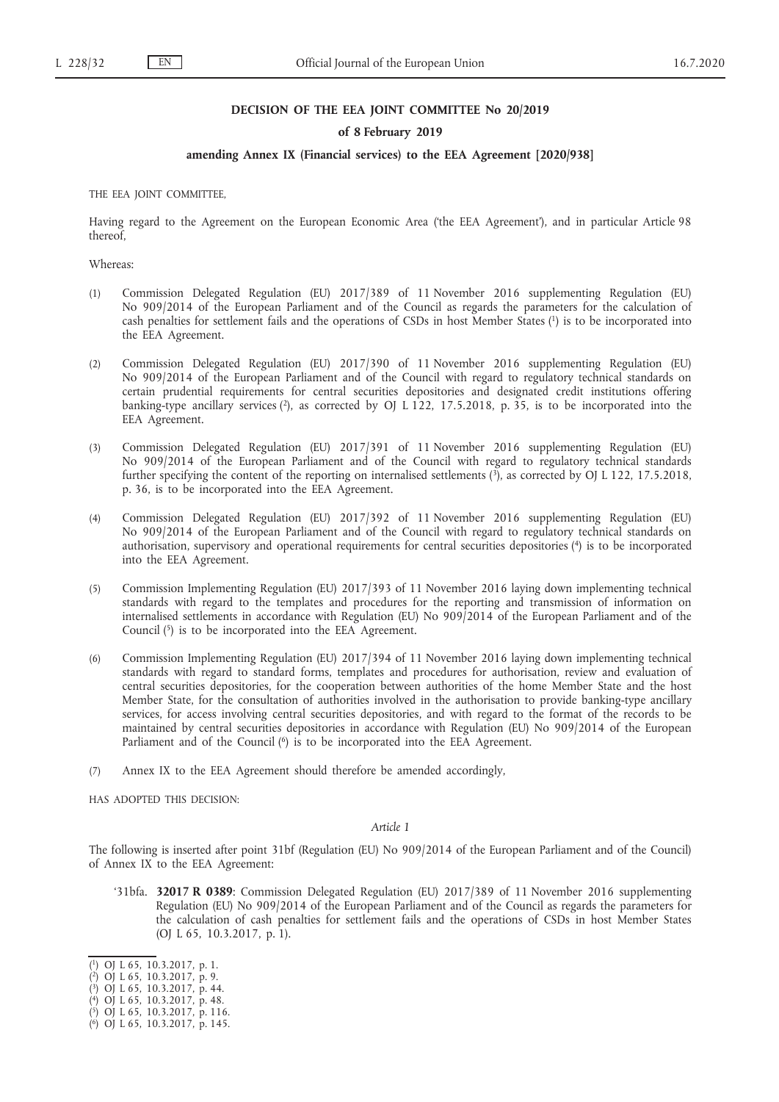### **DECISION OF THE EEA JOINT COMMITTEE No 20/2019**

### **of 8 February 2019**

## **amending Annex IX (Financial services) to the EEA Agreement [2020/938]**

THE EEA JOINT COMMITTEE,

Having regard to the Agreement on the European Economic Area ('the EEA Agreement'), and in particular Article 98 thereof,

Whereas:

- (1) Commission Delegated Regulation (EU) 2017/389 of 11 November 2016 supplementing Regulation (EU) No 909/2014 of the European Parliament and of the Council as regards the parameters for the calculation of cash penalties for settlement fails and the operations of CSDs in host Member States (1) is to be incorporated into the EEA Agreement.
- (2) Commission Delegated Regulation (EU) 2017/390 of 11 November 2016 supplementing Regulation (EU) No 909/2014 of the European Parliament and of the Council with regard to regulatory technical standards on certain prudential requirements for central securities depositories and designated credit institutions offering banking-type ancillary services (2), as corrected by OJ L 122, 17.5.2018, p. 35, is to be incorporated into the EEA Agreement.
- (3) Commission Delegated Regulation (EU) 2017/391 of 11 November 2016 supplementing Regulation (EU) No 909/2014 of the European Parliament and of the Council with regard to regulatory technical standards further specifying the content of the reporting on internalised settlements ( $\hat{3}$ ), as corrected by OJ L 122, 17.5.2018, p. 36, is to be incorporated into the EEA Agreement.
- (4) Commission Delegated Regulation (EU) 2017/392 of 11 November 2016 supplementing Regulation (EU) No 909/2014 of the European Parliament and of the Council with regard to regulatory technical standards on authorisation, supervisory and operational requirements for central securities depositories (4) is to be incorporated into the EEA Agreement.
- (5) Commission Implementing Regulation (EU) 2017/393 of 11 November 2016 laying down implementing technical standards with regard to the templates and procedures for the reporting and transmission of information on internalised settlements in accordance with Regulation (EU) No 909/2014 of the European Parliament and of the Council (5) is to be incorporated into the EEA Agreement.
- (6) Commission Implementing Regulation (EU) 2017/394 of 11 November 2016 laying down implementing technical standards with regard to standard forms, templates and procedures for authorisation, review and evaluation of central securities depositories, for the cooperation between authorities of the home Member State and the host Member State, for the consultation of authorities involved in the authorisation to provide banking-type ancillary services, for access involving central securities depositories, and with regard to the format of the records to be maintained by central securities depositories in accordance with Regulation (EU) No 909/2014 of the European Parliament and of the Council (<sup>6</sup>) is to be incorporated into the EEA Agreement.
- (7) Annex IX to the EEA Agreement should therefore be amended accordingly,

HAS ADOPTED THIS DECISION:

# *Article 1*

The following is inserted after point 31bf (Regulation (EU) No 909/2014 of the European Parliament and of the Council) of Annex IX to the EEA Agreement:

'31bfa. **32017 R 0389**: Commission Delegated Regulation (EU) 2017/389 of 11 November 2016 supplementing Regulation (EU) No 909/2014 of the European Parliament and of the Council as regards the parameters for the calculation of cash penalties for settlement fails and the operations of CSDs in host Member States (OJ L 65, 10.3.2017, p. 1).

( 2) OJ L 65, 10.3.2017, p. 9.

( 4) OJ L 65, 10.3.2017, p. 48.

<sup>(</sup> 1) OJ L 65, 10.3.2017, p. 1.

<sup>(</sup> 3) OJ L 65, 10.3.2017, p. 44.

<sup>(</sup> 5) OJ L 65, 10.3.2017, p. 116.

<sup>(</sup> 6) OJ L 65, 10.3.2017, p. 145.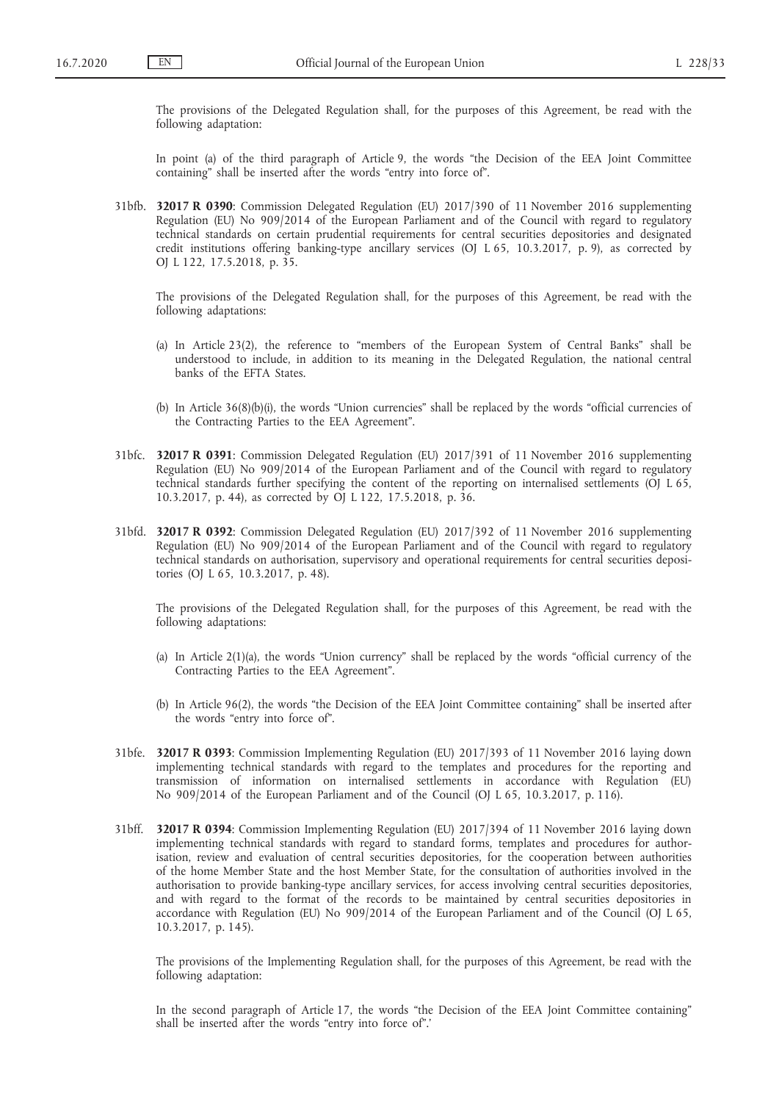The provisions of the Delegated Regulation shall, for the purposes of this Agreement, be read with the following adaptation:

In point (a) of the third paragraph of Article 9, the words "the Decision of the EEA Joint Committee containing" shall be inserted after the words "entry into force of".

31bfb. **32017 R 0390**: Commission Delegated Regulation (EU) 2017/390 of 11 November 2016 supplementing Regulation (EU) No 909/2014 of the European Parliament and of the Council with regard to regulatory technical standards on certain prudential requirements for central securities depositories and designated credit institutions offering banking-type ancillary services (OJ L 65, 10.3.2017, p. 9), as corrected by OJ L 122, 17.5.2018, p. 35.

The provisions of the Delegated Regulation shall, for the purposes of this Agreement, be read with the following adaptations:

- (a) In Article 23(2), the reference to "members of the European System of Central Banks" shall be understood to include, in addition to its meaning in the Delegated Regulation, the national central banks of the EFTA States.
- (b) In Article 36(8)(b)(i), the words "Union currencies" shall be replaced by the words "official currencies of the Contracting Parties to the EEA Agreement".
- 31bfc. **32017 R 0391**: Commission Delegated Regulation (EU) 2017/391 of 11 November 2016 supplementing Regulation (EU) No 909/2014 of the European Parliament and of the Council with regard to regulatory technical standards further specifying the content of the reporting on internalised settlements (OJ L 65, 10.3.2017, p. 44), as corrected by OJ L 122, 17.5.2018, p. 36.
- 31bfd. **32017 R 0392**: Commission Delegated Regulation (EU) 2017/392 of 11 November 2016 supplementing Regulation (EU) No 909/2014 of the European Parliament and of the Council with regard to regulatory technical standards on authorisation, supervisory and operational requirements for central securities depositories (OJ L 65, 10.3.2017, p. 48).

The provisions of the Delegated Regulation shall, for the purposes of this Agreement, be read with the following adaptations:

- (a) In Article 2(1)(a), the words "Union currency" shall be replaced by the words "official currency of the Contracting Parties to the EEA Agreement".
- (b) In Article 96(2), the words "the Decision of the EEA Joint Committee containing" shall be inserted after the words "entry into force of".
- 31bfe. **32017 R 0393**: Commission Implementing Regulation (EU) 2017/393 of 11 November 2016 laying down implementing technical standards with regard to the templates and procedures for the reporting and transmission of information on internalised settlements in accordance with Regulation (EU) No 909/2014 of the European Parliament and of the Council (OJ L 65, 10.3.2017, p. 116).
- 31bff. **32017 R 0394**: Commission Implementing Regulation (EU) 2017/394 of 11 November 2016 laying down implementing technical standards with regard to standard forms, templates and procedures for authorisation, review and evaluation of central securities depositories, for the cooperation between authorities of the home Member State and the host Member State, for the consultation of authorities involved in the authorisation to provide banking-type ancillary services, for access involving central securities depositories, and with regard to the format of the records to be maintained by central securities depositories in accordance with Regulation (EU) No 909/2014 of the European Parliament and of the Council (OJ L 65, 10.3.2017, p. 145).

The provisions of the Implementing Regulation shall, for the purposes of this Agreement, be read with the following adaptation:

In the second paragraph of Article 17, the words "the Decision of the EEA Joint Committee containing" shall be inserted after the words "entry into force of".'